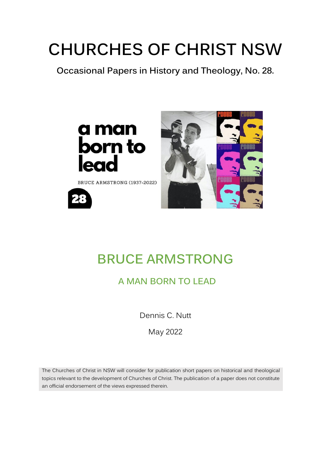# **CHURCHES OF CHRIST NSW**

**Occasional Papers in History and Theology, No. 28.**



BRUCE ARMSTRONG (1937-2022)





## **BRUCE ARMSTRONG**

### **A MAN BORN TO LEAD**

Dennis C. Nutt

May 2022

The Churches of Christ in NSW will consider for publication short papers on historical and theological topics relevant to the development of Churches of Christ. The publication of a paper does not constitute an official endorsement of the views expressed therein.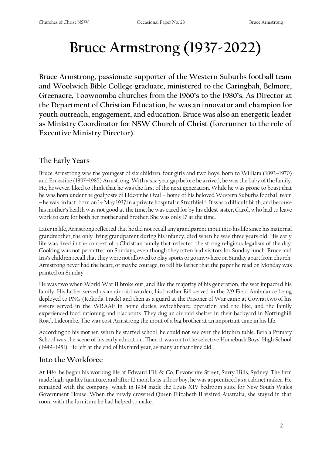## **Bruce Armstrong (1937-2022)**

**Bruce Armstrong, passionate supporter of the Western Suburbs football team and Woolwich Bible College graduate, ministered to the Caringbah, Belmore, Greenacre, Toowoomba churches from the 1960's to the 1980's. As Director at the Department of Christian Education, he was an innovator and champion for youth outreach, engagement, and education. Bruce was also an energetic leader as Ministry Coordinator for NSW Church of Christ (forerunner to the role of Executive Ministry Director).** 

#### **The Early Years**

Bruce Armstrong was the youngest of six children, four girls and two boys, born to William (1893–1970) and Ernestine (1897–1985) Armstrong. With a six-year gap before he arrived, he was the baby of the family. He, however, liked to think that he was the first of the next generation. While he was prone to boast that he was born under the goalposts of Lidcombe Oval – home of his beloved Western Suburbs football team – he was, in fact, born on 14 May 1937 in a private hospital in Strathfield. It was a difficult birth, and because his mother's health was not good at the time, he was cared for by his eldest sister, Carol, who had to leave work to care for both her mother and brother. She was only 17 at the time.

Later in life, Armstrong reflected that he did not recall any grandparent input into his life since his maternal grandmother, the only living grandparent during his infancy, died when he was three years old. His early life was lived in the context of a Christian family that reflected the strong religious legalism of the day. Cooking was not permitted on Sundays, even though they often had visitors for Sunday lunch. Bruce and Iris's children recall that they were not allowed to play sports or go anywhere on Sunday apart from church. Armstrong never had the heart, or maybe courage, to tell his father that the paper he read on Monday was printed on Sunday.

He was two when World War II broke out, and like the majority of his generation, the war impacted his family. His father served as an air raid warden; his brother Bill served in the 2/9 Field Ambulance being deployed to PNG (Kokoda Track) and then as a guard at the Prisoner of War camp at Cowra; two of his sisters served in the WRAAF in home duties, switchboard operation and the like, and the family experienced food rationing and blackouts. They dug an air raid shelter in their backyard in Nottinghill Road, Lidcombe. The war cost Armstrong the input of a big brother at an important time in his life.

According to his mother, when he started school, he could not see over the kitchen table. Berala Primary School was the scene of his early education. Then it was on to the selective Homebush Boys' High School (1949–1951). He left at the end of his third year, as many at that time did.

#### **Into the Workforce**

At 14½, he began his working life at Edward Hill & Co, Devonshire Street, Surry Hills, Sydney. The firm made high-quality furniture, and after 12 months as a floor boy, he was apprenticed as a cabinet maker. He remained with the company, which in 1954 made the Louis XIV bedroom suite for New South Wales Government House. When the newly crowned Queen Elizabeth II visited Australia, she stayed in that room with the furniture he had helped to make.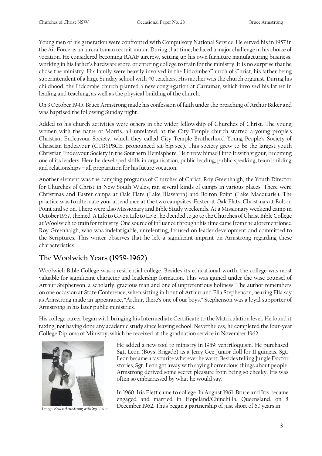Young men of his generation were confronted with Compulsory National Service. He served his in 1957 in the Air Force as an aircraftsman recruit minor. During that time, he faced a major challenge in his choice of vocation. He considered becoming RAAF aircrew, setting up his own furniture manufacturing business, working in his father's hardware store, or entering college to train for the ministry. It is no surprise that he chose the ministry. His family were heavily involved in the Lidcombe Church of Christ, his father being superintendent of a large Sunday school with 40 teachers. His mother was the church organist. During his childhood, the Lidcombe church planted a new congregation at Carramar, which involved his father in leading and teaching, as well as the physical building of the church.

On 3 October 1945, Bruce Armstrong made his confession of faith under the preaching of Arthur Baker and was baptised the following Sunday night.

Added to his church activities were others in the wider fellowship of Churches of Christ. The young women with the name of Morris, all unrelated, at the City Temple church started a young people's Christian Endeavour Society, which they called City Temple Brotherhood Young People's Society of Christian Endeavour (CTBYPSCE, pronounced sit-bip-see). This society grew to be the largest youth Christian Endeavour Society in the Southern Hemisphere. He threw himself into it with vigour, becoming one of its leaders. Here he developed skills in organisation, public leading, public speaking, team building and relationships – all preparation for his future vocation.

Another element was the camping programs of Churches of Christ. Roy Greenhalgh, the Youth Director for Churches of Christ in New South Wales, ran several kinds of camps in various places. There were Christmas and Easter camps at Oak Flats (Lake Illawarra) and Bolton Point (Lake Macquarie). The practice was to alternate your attendance at the two campsites: Easter at Oak Flats, Christmas at Bolton Point and so on. There were also Missionary and Bible Study weekends. At a Missionary weekend camp in October 1957, themed 'A Life to Give a Life to Live', he decided to go to the Churches of Christ Bible College at Woolwich to train for ministry. One source of influence through this time came from the aforementioned Roy Greenhalgh, who was indefatigable, unrelenting, focused on leader development and committed to the Scriptures. This writer observes that he left a significant imprint on Armstrong regarding these characteristics.

#### **The Woolwich Years (1959-1962)**

Woolwich Bible College was a residential college. Besides its educational worth, the college was most valuable for significant character and leadership formation. This was gained under the wise counsel of Arthur Stephenson, a scholarly, gracious man and one of unpretentious holiness. The author remembers on one occasion at State Conference, when sitting in front of Arthur and Ella Stephenson, hearing Ella say as Armstrong made an appearance, "Arthur, there's one of our boys." Stephenson was a loyal supporter of Armstrong in his later public ministries.

His college career began with bringing his Intermediate Certificate to the Matriculation level. He found it taxing, not having done any academic study since leaving school. Nevertheless, he completed the four-year College Diploma of Ministry, which he received at the graduation service in November 1962.



*Image: Bruce Armstrong with Sgt. Leon.*

He added a new tool to ministry in 1959: ventriloquism. He purchased Sgt. Leon (Boys' Brigade) as a Jerry Gee Junior doll for 11 guineas. Sgt. Leon became a favourite wherever he went. Besides telling Jungle Doctor stories, Sgt. Leon got away with saying horrendous things about people. Armstrong derived some secret pleasure from being so cheeky. Iris was often so embarrassed by what he would say.

In 1960, Iris Flett came to college. In August 1961, Bruce and Iris became engaged and married in Hopeland/Chinchilla, Queensland, on 8 December 1962. Thus began a partnership of just short of 60 years in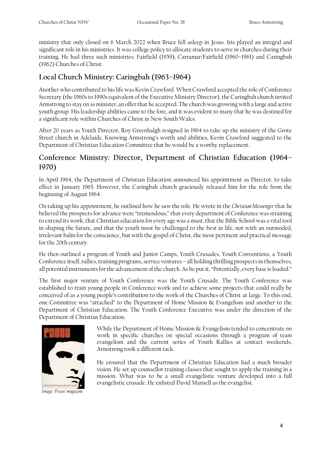ministry that only closed on 6 March 2022 when Bruce fell asleep in Jesus. Iris played an integral and significant role in his ministries. It was college policy to allocate students to serve in churches during their training. He had three such ministries: Fairfield (1959), Carramar/Fairfield (1960–1961) and Caringbah (1962) Churches of Christ.

#### **Local Church Ministry: Caringbah (1963–1964)**

Another who contributed to his life was Kevin Crawford. When Crawford accepted the role of Conference Secretary (the 1960s to 1990s equivalent of the Executive Ministry Director), the Caringbah church invited Armstrong to stay on as minister, an offer that he accepted. The church was growing with a large and active youth group. His leadership abilities came to the fore, and it was evident to many that he was destined for a significant role within Churches of Christ in New South Wales.

After 20 years as Youth Director, Roy Greenhalgh resigned in 1964 to take up the ministry of the Grote Street church in Adelaide. Knowing Armstrong's worth and abilities, Kevin Crawford suggested to the Department of Christian Education Committee that he would be a worthy replacement.

#### **Conference Ministry: Director, Department of Christian Education (1964– 1970)**

In April 1964, the Department of Christian Education announced his appointment as Director, to take effect in January 1965. However, the Caringbah church graciously released him for the role from the beginning of August 1964.

On taking up his appointment, he outlined how he saw the role. He wrote in the *Christian Messenger* that he believed the prospects for advance were "tremendous," that every department of Conference was straining to extend its work, that Christian education for every age was a must, that the Bible School was a vital tool in shaping the future, and that the youth must be challenged to the best in life, not with an outmoded, irrelevant balm for the conscience, but with the gospel of Christ, the most pertinent and practical message for the 20th century.

He then outlined a program of Youth and Junior Camps, Youth Crusades, Youth Conventions, a Youth Conference itself, rallies, training programs, service ventures – all holding thrilling prospects in themselves, all potential instruments for the advancement of the church. As he put it, "Potentially, every base is loaded."

The first major venture of Youth Conference was the Youth Crusade. The Youth Conference was established to train young people in Conference work and to achieve some projects that could really be conceived of as a young people's contribution to the work of the Churches of Christ at large. To this end, one Committee was "attached" to the Department of Home Mission & Evangelism and another to the Department of Christian Education. The Youth Conference Executive was under the direction of the Department of Christian Education.



*Image: 'Focus' magazine*

While the Department of Home Mission & Evangelism tended to concentrate on work in specific churches on special occasions through a program of team evangelism and the current series of Youth Rallies at contact weekends, Armstrong took a different tack.

He ensured that the Department of Christian Education had a much broader vision. He set up counsellor training classes that sought to apply the training in a mission. What was to be a small evangelistic venture developed into a full evangelistic crusade. He enlisted David Mansell as the evangelist.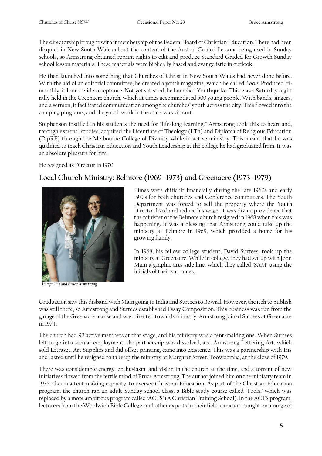The directorship brought with it membership of the Federal Board of Christian Education. There had been disquiet in New South Wales about the content of the Austral Graded Lessons being used in Sunday schools, so Armstrong obtained reprint rights to edit and produce Standard Graded for Growth Sunday school lesson materials. These materials were biblically based and evangelistic in outlook.

He then launched into something that Churches of Christ in New South Wales had never done before. With the aid of an editorial committee, he created a youth magazine, which he called *Focus.* Produced bimonthly, it found wide acceptance. Not yet satisfied, he launched Youthquake. This was a Saturday night rally held in the Greenacre church, which at times accommodated 500 young people. With bands, singers, and a sermon, it facilitated communication among the churches' youth across the city. This flowed into the camping programs, and the youth work in the state was vibrant.

Stephenson instilled in his students the need for "life-long learning." Armstrong took this to heart and, through external studies, acquired the Licentiate of Theology (LTh) and Diploma of Religious Education (DipRE) through the Melbourne College of Divinity while in active ministry. This meant that he was qualified to teach Christian Education and Youth Leadership at the college he had graduated from. It was an absolute pleasure for him.

He resigned as Director in 1970.

#### **Local Church Ministry: Belmore (1969–1973) and Greenacre (1973–1979)**



*Image: Iris and Bruce Armstrong*

Times were difficult financially during the late 1960s and early 1970s for both churches and Conference committees. The Youth Department was forced to sell the property where the Youth Director lived and reduce his wage. It was divine providence that the minister of the Belmore church resigned in 1968 when this was happening. It was a blessing that Armstrong could take up the ministry at Belmore in 1969, which provided a home for his growing family.

In 1968, his fellow college student, David Surtees, took up the ministry at Greenacre. While in college, they had set up with John Main a graphic arts side line, which they called 'SAM' using the initials of their surnames.

Graduation saw this disband with Main going to India and Surtees to Bowral. However, the itch to publish was still there, so Armstrong and Surtees established Essay Composition. This business was run from the garage of the Greenacre manse and was directed towards ministry. Armstrong joined Surtees at Greenacre in 1974.

The church had 92 active members at that stage, and his ministry was a tent-making one. When Surtees left to go into secular employment, the partnership was dissolved, and Armstrong Lettering Art, which sold Letraset, Art Supplies and did offset printing, came into existence. This was a partnership with Iris and lasted until he resigned to take up the ministry at Margaret Street, Toowoomba, at the close of 1979.

There was considerable energy, enthusiasm, and vision in the church at the time, and a torrent of new initiatives flowed from the fertile mind of Bruce Armstrong. The author joined him on the ministry team in 1975, also in a tent-making capacity, to oversee Christian Education. As part of the Christian Education program, the church ran an adult Sunday school class, a Bible study course called 'Tools,' which was replaced by a more ambitious program called 'ACTS' (A Christian Training School). In the ACTS program, lecturers from the Woolwich Bible College, and other experts in their field, came and taught on a range of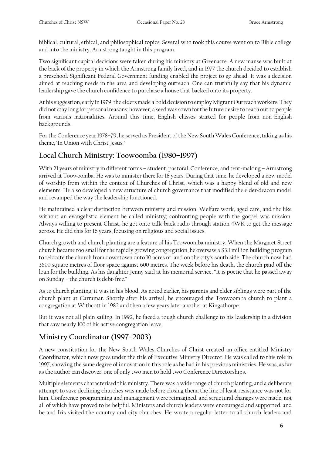biblical, cultural, ethical, and philosophical topics. Several who took this course went on to Bible college and into the ministry. Armstrong taught in this program.

Two significant capital decisions were taken during his ministry at Greenacre. A new manse was built at the back of the property in which the Armstrong family lived, and in 1977 the church decided to establish a preschool. Significant Federal Government funding enabled the project to go ahead. It was a decision aimed at reaching needs in the area and developing outreach. One can truthfully say that his dynamic leadership gave the church confidence to purchase a house that backed onto its property.

At his suggestion, early in 1979, the elders made a bold decision to employ Migrant Outreach workers. They did not stay long for personal reasons; however, a seed was sown for the future desire to reach out to people from various nationalities. Around this time, English classes started for people from non-English backgrounds.

For the Conference year 1978–79, he served as President of the New South Wales Conference, taking as his theme, 'In Union with Christ Jesus.'

#### **Local Church Ministry: Toowoomba (1980–1997)**

With 21 years of ministry in different forms – student, pastoral, Conference, and tent-making – Armstrong arrived at Toowoomba. He was to minister there for 18 years. During that time, he developed a new model of worship from within the context of Churches of Christ, which was a happy blend of old and new elements. He also developed a new structure of church governance that modified the elder/deacon model and revamped the way the leadership functioned.

He maintained a clear distinction between ministry and mission. Welfare work, aged care, and the like without an evangelistic element he called ministry; confronting people with the gospel was mission. Always willing to present Christ, he got onto talk-back radio through station 4WK to get the message across. He did this for 16 years, focusing on religious and social issues.

Church growth and church planting are a feature of his Toowoomba ministry. When the Margaret Street church became too small for the rapidly growing congregation, he oversaw a \$3.1 million building program to relocate the church from downtown onto 10 acres of land on the city's south side. The church now had 3600 square metres of floor space against 600 metres. The week before his death, the church paid off the loan for the building. As his daughter Jenny said at his memorial service, "It is poetic that he passed away on Sunday – the church is debt-free."

As to church planting, it was in his blood. As noted earlier, his parents and elder siblings were part of the church plant at Carramar. Shortly after his arrival, he encouraged the Toowoomba church to plant a congregation at Withcott in 1982 and then a few years later another at Kingsthorpe.

But it was not all plain sailing. In 1992, he faced a tough church challenge to his leadership in a division that saw nearly 100 of his active congregation leave.

#### **Ministry Coordinator (1997–2003)**

A new constitution for the New South Wales Churches of Christ created an office entitled Ministry Coordinator, which now goes under the title of Executive Ministry Director. He was called to this role in 1997, showing the same degree of innovation in this role as he had in his previous ministries. He was, as far as the author can discover, one of only two men to hold two Conference Directorships.

Multiple elements characterised this ministry. There was a wide range of church planting, and a deliberate attempt to save declining churches was made before closing them; the line of least resistance was not for him. Conference programming and management were reimagined, and structural changes were made, not all of which have proved to be helpful. Ministers and church leaders were encouraged and supported, and he and Iris visited the country and city churches. He wrote a regular letter to all church leaders and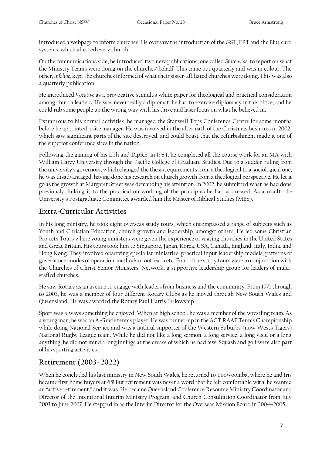introduced a webpage to inform churches. He oversaw the introduction of the GST, FBT and the Blue card systems, which affected every church.

On the communications side, he introduced two new publications, one called *State-wide,* to report on what the Ministry Teams were doing on the churches' behalf. This came out quarterly and was in colour. The other, *Infoline*, kept the churches informed of what their sister-affiliated churches were doing. This was also a quarterly publication.

He introduced *Vocative* as a provocative stimulus white paper for theological and practical consideration among church leaders. He was never really a diplomat, he had to exercise diplomacy in this office, and he could rub some people up the wrong way with his drive and laser focus on what he believed in.

Extraneous to his normal activities, he managed the Stanwell Tops Conference Centre for some months before he appointed a site manager. He was involved in the aftermath of the Christmas bushfires in 2002, which saw significant parts of the site destroyed, and could boast that the refurbishment made it one of the superior conference sites in the nation.

Following the gaining of his LTh and DipRE, in 1984, he completed all the course work for an MA with William Carey University through the Pacific College of Graduate Studies. Due to a sudden ruling from the university's governors, which changed the thesis requirements from a theological to a sociological one, he was disadvantaged, having done his research on church growth from a theological perspective. He let it go as the growth at Margaret Street was demanding his attention. In 2002, he submitted what he had done previously, linking it to the practical outworking of the principles he had addressed. As a result, the University's Postgraduate Committee awarded him the Master of Biblical Studies (MBS).

#### **Extra-Curricular Activities**

In his long ministry, he took eight overseas study tours, which encompassed a range of subjects such as Youth and Christian Education, church growth and leadership, amongst others. He led some Christian Projects Tours where young ministers were given the experience of visiting churches in the United States and Great Britain. His tours took him to Singapore, Japan, Korea, USA, Canada, England, Italy, India, and Hong Kong. They involved observing specialist ministries, practical input leadership models, patterns of governance, modes of operation, methods of outreach etc. Four of the study tours were in conjunction with the Churches of Christ Senior Ministers' Network, a supportive leadership group for leaders of multistaffed churches.

He saw Rotary as an avenue to engage with leaders from business and the community. From 1971 through to 2005, he was a member of four different Rotary Clubs as he moved through New South Wales and Queensland. He was awarded the Rotary Paul Harris Fellowship.

Sport was always something he enjoyed. When at high school, he was a member of the wrestling team. As a young man, he was an A-Grade tennis player. He was runner-up in the ACT RAAF Tennis Championship while doing National Service and was a faithful supporter of the Western Suburbs (now Wests Tigers) National Rugby League team. While he did not like a long sermon, a long service, a long visit, or a long anything, he did not mind a long innings at the crease of which he had few. Squash and golf were also part of his sporting activities.

#### **Retirement (2003–2022)**

When he concluded his last ministry in New South Wales, he returned to Toowoomba, where he and Iris became first home buyers at 65! But retirement was never a word that he felt comfortable with; he wanted an "active retirement," and it was. He became Queensland Conference Resource Ministry Coordinator and Director of the Intentional Interim Ministry Program, and Church Consultation Coordinator from July 2003 to June 2007. He stepped in as the Interim Director for the Overseas Mission Board in 2004–2005.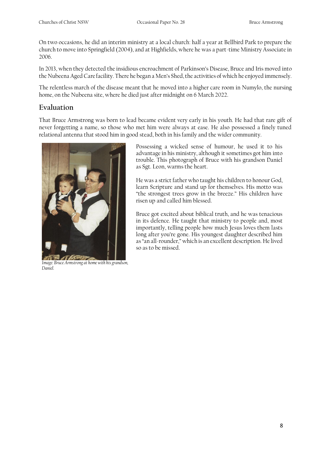On two occasions, he did an interim ministry at a local church: half a year at Bellbird Park to prepare the church to move into Springfield (2004), and at Highfields, where he was a part-time Ministry Associate in 2006.

In 2013, when they detected the insidious encroachment of Parkinson's Disease, Bruce and Iris moved into the Nubeena Aged Care facility. There he began a Men's Shed, the activities of which he enjoyed immensely.

The relentless march of the disease meant that he moved into a higher care room in Numylo, the nursing home, on the Nubeena site, where he died just after midnight on 6 March 2022.

#### **Evaluation**

That Bruce Armstrong was born to lead became evident very early in his youth. He had that rare gift of never forgetting a name, so those who met him were always at ease. He also possessed a finely tuned relational antenna that stood him in good stead, both in his family and the wider community.



*Image: Bruce Armstrong at home with his grandson, Daniel.*

Possessing a wicked sense of humour, he used it to his advantage in his ministry, although it sometimes got him into trouble. This photograph of Bruce with his grandson Daniel as Sgt. Leon, warms the heart.

He was a strict father who taught his children to honour God, learn Scripture and stand up for themselves. His motto was "the strongest trees grow in the breeze." His children have risen up and called him blessed.

Bruce got excited about biblical truth, and he was tenacious in its defence. He taught that ministry to people and, most importantly, telling people how much Jesus loves them lasts long after you're gone. His youngest daughter described him as "an all-rounder," which is an excellent description. He lived so as to be missed.